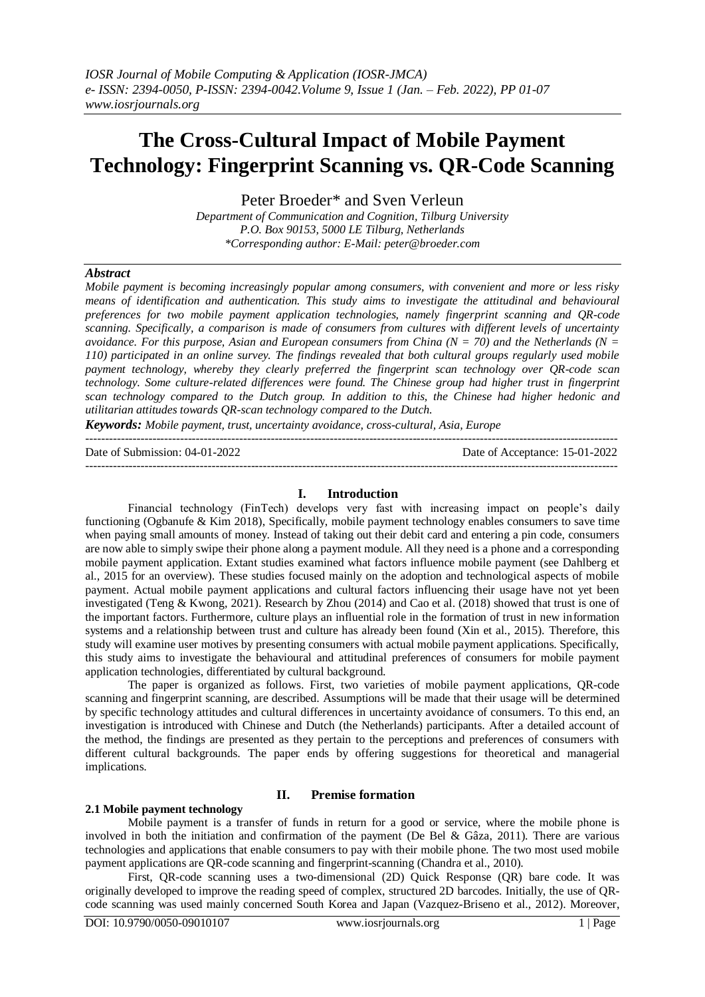# **The Cross-Cultural Impact of Mobile Payment Technology: Fingerprint Scanning vs. QR-Code Scanning**

Peter Broeder\* and Sven Verleun

*Department of Communication and Cognition, Tilburg University P.O. Box 90153, 5000 LE Tilburg, Netherlands \*Corresponding author: E-Mail[: peter@broeder.com](mailto:peter@broeder.com)*

# *Abstract*

*Mobile payment is becoming increasingly popular among consumers, with convenient and more or less risky means of identification and authentication. This study aims to investigate the attitudinal and behavioural preferences for two mobile payment application technologies, namely fingerprint scanning and QR-code scanning. Specifically, a comparison is made of consumers from cultures with different levels of uncertainty avoidance. For this purpose, Asian and European consumers from China (N = 70) and the Netherlands (N = 110) participated in an online survey. The findings revealed that both cultural groups regularly used mobile payment technology, whereby they clearly preferred the fingerprint scan technology over QR-code scan technology. Some culture-related differences were found. The Chinese group had higher trust in fingerprint scan technology compared to the Dutch group. In addition to this, the Chinese had higher hedonic and utilitarian attitudes towards QR-scan technology compared to the Dutch.*

*Keywords: Mobile payment, trust, uncertainty avoidance, cross-cultural, Asia, Europe*  $-1.1$ 

Date of Submission: 04-01-2022 Date of Acceptance: 15-01-2022

---------------------------------------------------------------------------------------------------------------------------------------

# **I. Introduction**

Financial technology (FinTech) develops very fast with increasing impact on people's daily functioning (Ogbanufe & Kim 2018), Specifically, mobile payment technology enables consumers to save time when paying small amounts of money. Instead of taking out their debit card and entering a pin code, consumers are now able to simply swipe their phone along a payment module. All they need is a phone and a corresponding mobile payment application. Extant studies examined what factors influence mobile payment (see Dahlberg et al., 2015 for an overview). These studies focused mainly on the adoption and technological aspects of mobile payment. Actual mobile payment applications and cultural factors influencing their usage have not yet been investigated (Teng & Kwong, 2021). Research by Zhou (2014) and Cao et al. (2018) showed that trust is one of the important factors. Furthermore, culture plays an influential role in the formation of trust in new information systems and a relationship between trust and culture has already been found (Xin et al., 2015). Therefore, this study will examine user motives by presenting consumers with actual mobile payment applications. Specifically, this study aims to investigate the behavioural and attitudinal preferences of consumers for mobile payment application technologies, differentiated by cultural background.

The paper is organized as follows. First, two varieties of mobile payment applications, QR-code scanning and fingerprint scanning, are described. Assumptions will be made that their usage will be determined by specific technology attitudes and cultural differences in uncertainty avoidance of consumers. To this end, an investigation is introduced with Chinese and Dutch (the Netherlands) participants. After a detailed account of the method, the findings are presented as they pertain to the perceptions and preferences of consumers with different cultural backgrounds. The paper ends by offering suggestions for theoretical and managerial implications.

## **2.1 Mobile payment technology**

# **II. Premise formation**

Mobile payment is a transfer of funds in return for a good or service, where the mobile phone is involved in both the initiation and confirmation of the payment (De Bel & Gâza, 2011). There are various technologies and applications that enable consumers to pay with their mobile phone. The two most used mobile payment applications are QR-code scanning and fingerprint-scanning (Chandra et al., 2010).

First, QR-code scanning uses a two-dimensional (2D) Quick Response (QR) bare code. It was originally developed to improve the reading speed of complex, structured 2D barcodes. Initially, the use of QRcode scanning was used mainly concerned South Korea and Japan (Vazquez-Briseno et al., 2012). Moreover,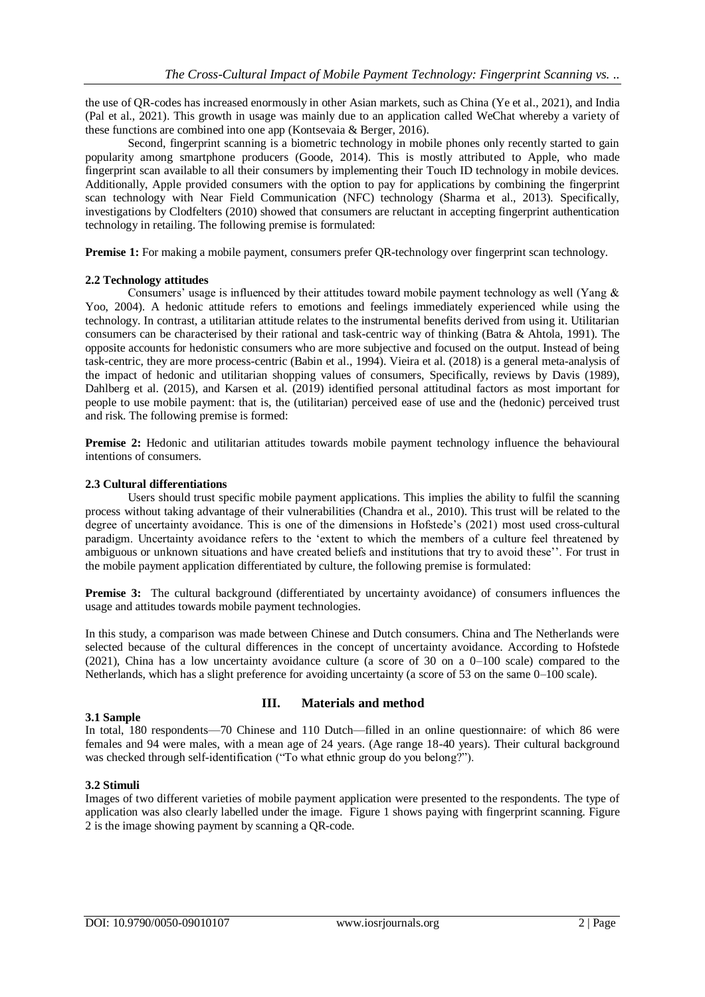the use of QR-codes has increased enormously in other Asian markets, such as China (Ye et al., 2021), and India (Pal et al., 2021). This growth in usage was mainly due to an application called WeChat whereby a variety of these functions are combined into one app (Kontsevaia & Berger, 2016).

Second, fingerprint scanning is a biometric technology in mobile phones only recently started to gain popularity among smartphone producers (Goode, 2014). This is mostly attributed to Apple, who made fingerprint scan available to all their consumers by implementing their Touch ID technology in mobile devices. Additionally, Apple provided consumers with the option to pay for applications by combining the fingerprint scan technology with Near Field Communication (NFC) technology (Sharma et al., 2013). Specifically, investigations by Clodfelters (2010) showed that consumers are reluctant in accepting fingerprint authentication technology in retailing. The following premise is formulated:

**Premise 1:** For making a mobile payment, consumers prefer QR-technology over fingerprint scan technology.

# **2.2 Technology attitudes**

Consumers' usage is influenced by their attitudes toward mobile payment technology as well (Yang  $\&$ Yoo, 2004). A hedonic attitude refers to emotions and feelings immediately experienced while using the technology. In contrast, a utilitarian attitude relates to the instrumental benefits derived from using it. Utilitarian consumers can be characterised by their rational and task-centric way of thinking (Batra & Ahtola, 1991). The opposite accounts for hedonistic consumers who are more subjective and focused on the output. Instead of being task-centric, they are more process-centric (Babin et al., 1994). Vieira et al. (2018) is a general meta-analysis of the impact of hedonic and utilitarian shopping values of consumers, Specifically, reviews by Davis (1989), Dahlberg et al. (2015), and Karsen et al. (2019) identified personal attitudinal factors as most important for people to use mobile payment: that is, the (utilitarian) perceived ease of use and the (hedonic) perceived trust and risk. The following premise is formed:

**Premise 2:** Hedonic and utilitarian attitudes towards mobile payment technology influence the behavioural intentions of consumers.

# **2.3 Cultural differentiations**

Users should trust specific mobile payment applications. This implies the ability to fulfil the scanning process without taking advantage of their vulnerabilities (Chandra et al., 2010). This trust will be related to the degree of uncertainty avoidance. This is one of the dimensions in Hofstede's (2021) most used cross-cultural paradigm. Uncertainty avoidance refers to the 'extent to which the members of a culture feel threatened by ambiguous or unknown situations and have created beliefs and institutions that try to avoid these''. For trust in the mobile payment application differentiated by culture, the following premise is formulated:

**Premise 3:** The cultural background (differentiated by uncertainty avoidance) of consumers influences the usage and attitudes towards mobile payment technologies.

In this study, a comparison was made between Chinese and Dutch consumers. China and The Netherlands were selected because of the cultural differences in the concept of uncertainty avoidance. According to Hofstede (2021), China has a low uncertainty avoidance culture (a score of 30 on a 0–100 scale) compared to the Netherlands, which has a slight preference for avoiding uncertainty (a score of 53 on the same 0–100 scale).

## **3.1 Sample**

# **III. Materials and method**

In total, 180 respondents—70 Chinese and 110 Dutch—filled in an online questionnaire: of which 86 were females and 94 were males, with a mean age of 24 years. (Age range 18-40 years). Their cultural background was checked through self-identification ("To what ethnic group do you belong?").

## **3.2 Stimuli**

Images of two different varieties of mobile payment application were presented to the respondents. The type of application was also clearly labelled under the image. Figure 1 shows paying with fingerprint scanning. Figure 2 is the image showing payment by scanning a QR-code.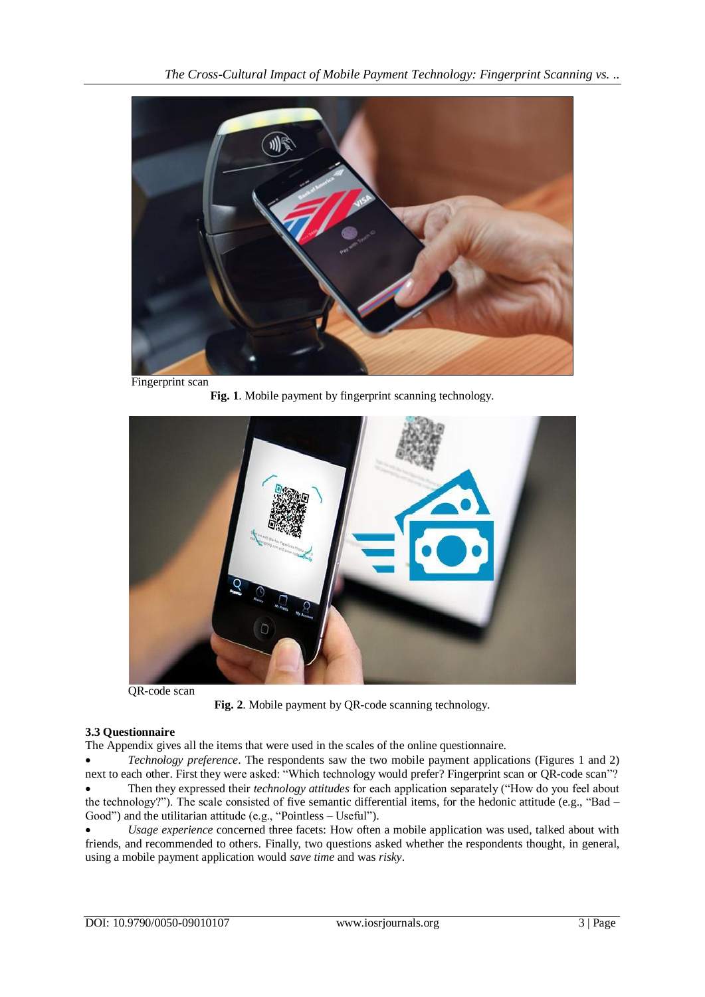

**Fig. 1**. Mobile payment by fingerprint scanning technology.



QR-code scan

**Fig. 2**. Mobile payment by QR-code scanning technology.

# **3.3 Questionnaire**

The Appendix gives all the items that were used in the scales of the online questionnaire.

 *Technology preference*. The respondents saw the two mobile payment applications (Figures 1 and 2) next to each other. First they were asked: "Which technology would prefer? Fingerprint scan or QR-code scan"? Then they expressed their *technology attitudes* for each application separately ("How do you feel about the technology?"). The scale consisted of five semantic differential items, for the hedonic attitude (e.g., "Bad – Good") and the utilitarian attitude (e.g., "Pointless – Useful").

 *Usage experience* concerned three facets: How often a mobile application was used, talked about with friends, and recommended to others. Finally, two questions asked whether the respondents thought, in general, using a mobile payment application would *save time* and was *risky*.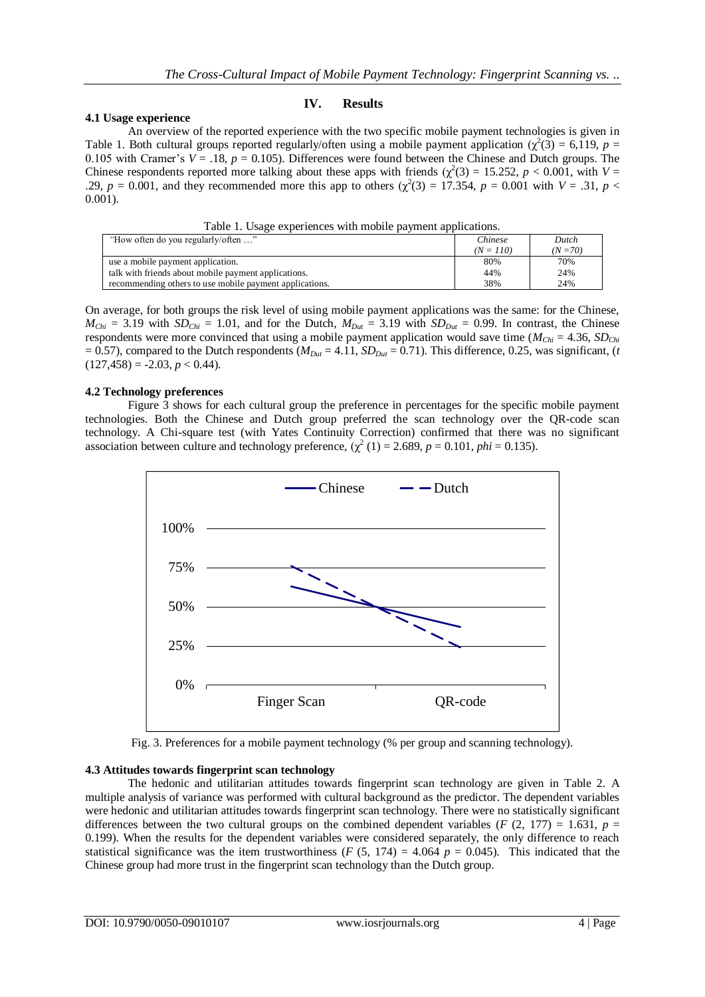## **4.1 Usage experience**

## **IV. Results**

An overview of the reported experience with the two specific mobile payment technologies is given in Table 1. Both cultural groups reported regularly/often using a mobile payment application  $(\chi^2(3) = 6,119, p =$ 0.105 with Cramer's  $V = .18$ ,  $p = 0.105$ ). Differences were found between the Chinese and Dutch groups. The Chinese respondents reported more talking about these apps with friends  $(\chi^2(3) = 15.252, p < 0.001,$  with  $V =$ .29,  $p = 0.001$ , and they recommended more this app to others ( $\chi^2(3) = 17.354$ ,  $p = 0.001$  with  $V = .31$ ,  $p <$ 0.001).

| "How often do you regularly/often "                     | Chinese     | Dutch      |
|---------------------------------------------------------|-------------|------------|
|                                                         | $(N = 110)$ | $(N = 70)$ |
| use a mobile payment application.                       | 80%         | 70%        |
| talk with friends about mobile payment applications.    | 44%         | 24%        |
| recommending others to use mobile payment applications. | 38%         | 24%        |

On average, for both groups the risk level of using mobile payment applications was the same: for the Chinese,  $M_{Chi} = 3.19$  with  $SD_{Chi} = 1.01$ , and for the Dutch,  $M_{Dut} = 3.19$  with  $SD_{Dut} = 0.99$ . In contrast, the Chinese respondents were more convinced that using a mobile payment application would save time (*MChi* = 4.36, *SDChi*  $= 0.57$ ), compared to the Dutch respondents ( $M_{\text{Dut}} = 4.11$ ,  $SD_{\text{Dut}} = 0.71$ ). This difference, 0.25, was significant, (*t*  $(127, 458) = -2.03, p < 0.44$ .

#### **4.2 Technology preferences**

Figure 3 shows for each cultural group the preference in percentages for the specific mobile payment technologies. Both the Chinese and Dutch group preferred the scan technology over the QR-code scan technology. A Chi-square test (with Yates Continuity Correction) confirmed that there was no significant association between culture and technology preference,  $(\chi^2(1) = 2.689, p = 0.101, phi = 0.135)$ .



Fig. 3. Preferences for a mobile payment technology (% per group and scanning technology).

## **4.3 Attitudes towards fingerprint scan technology**

The hedonic and utilitarian attitudes towards fingerprint scan technology are given in Table 2. A multiple analysis of variance was performed with cultural background as the predictor. The dependent variables were hedonic and utilitarian attitudes towards fingerprint scan technology. There were no statistically significant differences between the two cultural groups on the combined dependent variables (*F* (2, 177) = 1.631,  $p =$ 0.199). When the results for the dependent variables were considered separately, the only difference to reach statistical significance was the item trustworthiness ( $F(5, 174) = 4.064$   $p = 0.045$ ). This indicated that the Chinese group had more trust in the fingerprint scan technology than the Dutch group.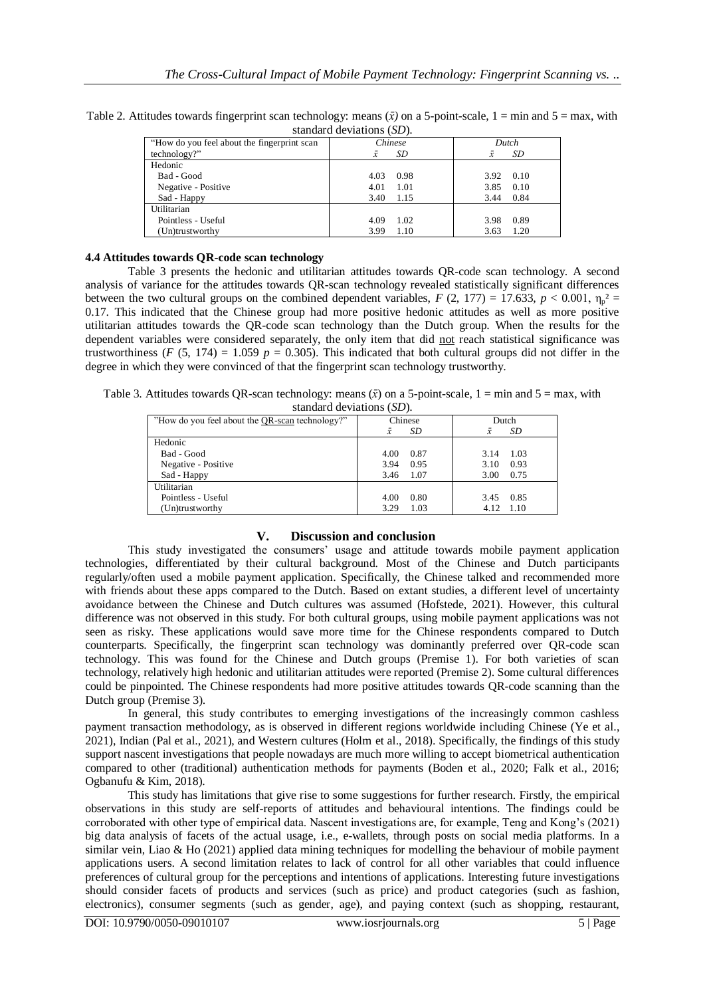| standard deviations $(DD)$ .                |                  |                        |  |
|---------------------------------------------|------------------|------------------------|--|
| "How do you feel about the fingerprint scan | Chinese<br>Dutch |                        |  |
| technology?"                                | SD.<br>x         | SD<br>$\boldsymbol{x}$ |  |
| Hedonic                                     |                  |                        |  |
| Bad - Good                                  | 0.98<br>4.03     | 0.10<br>3.92           |  |
| Negative - Positive                         | 1.01<br>4.01     | 0.10<br>3.85           |  |
| Sad - Happy                                 | 3.40<br>1.15     | 0.84<br>3.44           |  |
| Utilitarian                                 |                  |                        |  |
| Pointless - Useful                          | 4.09<br>1.02     | 0.89<br>3.98           |  |
| (Un)trustworthy                             | 1.10<br>3.99     | 1.20<br>3.63           |  |

Table 2. Attitudes towards fingerprint scan technology: means  $(\bar{x})$  on a 5-point-scale,  $1 = \min$  and  $5 = \max$ , with standard deviations (*SD*).

## **4.4 Attitudes towards QR-code scan technology**

Table 3 presents the hedonic and utilitarian attitudes towards QR-code scan technology. A second analysis of variance for the attitudes towards QR-scan technology revealed statistically significant differences between the two cultural groups on the combined dependent variables,  $F(2, 177) = 17.633$ ,  $p < 0.001$ ,  $\eta_p^2 =$ 0.17. This indicated that the Chinese group had more positive hedonic attitudes as well as more positive utilitarian attitudes towards the QR-code scan technology than the Dutch group. When the results for the dependent variables were considered separately, the only item that did not reach statistical significance was trustworthiness ( $F(5, 174) = 1.059$   $p = 0.305$ ). This indicated that both cultural groups did not differ in the degree in which they were convinced of that the fingerprint scan technology trustworthy.

Table 3. Attitudes towards QR-scan technology: means  $(\bar{x})$  on a 5-point-scale, 1 = min and 5 = max, with standard deviations (*SD*).

| "How do you feel about the QR-scan technology?" | Chinese      | Dutch                |  |
|-------------------------------------------------|--------------|----------------------|--|
|                                                 | SD<br>x      | SD<br>$\overline{x}$ |  |
| Hedonic                                         |              |                      |  |
| Bad - Good                                      | 4.00<br>0.87 | 1.03<br>3.14         |  |
| Negative - Positive                             | 0.95<br>3.94 | 0.93<br>3.10         |  |
| Sad - Happy                                     | 1.07<br>3.46 | 0.75<br>3.00         |  |
| Utilitarian                                     |              |                      |  |
| Pointless - Useful                              | 0.80<br>4.00 | 0.85<br>3.45         |  |
| (Un)trustworthy                                 | 1.03<br>3.29 | 4.12 1.10            |  |

# **V. Discussion and conclusion**

This study investigated the consumers' usage and attitude towards mobile payment application technologies, differentiated by their cultural background. Most of the Chinese and Dutch participants regularly/often used a mobile payment application. Specifically, the Chinese talked and recommended more with friends about these apps compared to the Dutch. Based on extant studies, a different level of uncertainty avoidance between the Chinese and Dutch cultures was assumed (Hofstede, 2021). However, this cultural difference was not observed in this study. For both cultural groups, using mobile payment applications was not seen as risky. These applications would save more time for the Chinese respondents compared to Dutch counterparts. Specifically, the fingerprint scan technology was dominantly preferred over QR-code scan technology. This was found for the Chinese and Dutch groups (Premise 1). For both varieties of scan technology, relatively high hedonic and utilitarian attitudes were reported (Premise 2). Some cultural differences could be pinpointed. The Chinese respondents had more positive attitudes towards QR-code scanning than the Dutch group (Premise 3).

In general, this study contributes to emerging investigations of the increasingly common cashless payment transaction methodology, as is observed in different regions worldwide including Chinese (Ye et al., 2021), Indian (Pal et al., 2021), and Western cultures (Holm et al., 2018). Specifically, the findings of this study support nascent investigations that people nowadays are much more willing to accept biometrical authentication compared to other (traditional) authentication methods for payments (Boden et al., 2020; Falk et al., 2016; Ogbanufu & Kim, 2018).

This study has limitations that give rise to some suggestions for further research. Firstly, the empirical observations in this study are self-reports of attitudes and behavioural intentions. The findings could be corroborated with other type of empirical data. Nascent investigations are, for example, Teng and Kong's (2021) big data analysis of facets of the actual usage, i.e., e-wallets, through posts on social media platforms. In a similar vein, Liao & Ho (2021) applied data mining techniques for modelling the behaviour of mobile payment applications users. A second limitation relates to lack of control for all other variables that could influence preferences of cultural group for the perceptions and intentions of applications. Interesting future investigations should consider facets of products and services (such as price) and product categories (such as fashion, electronics), consumer segments (such as gender, age), and paying context (such as shopping, restaurant,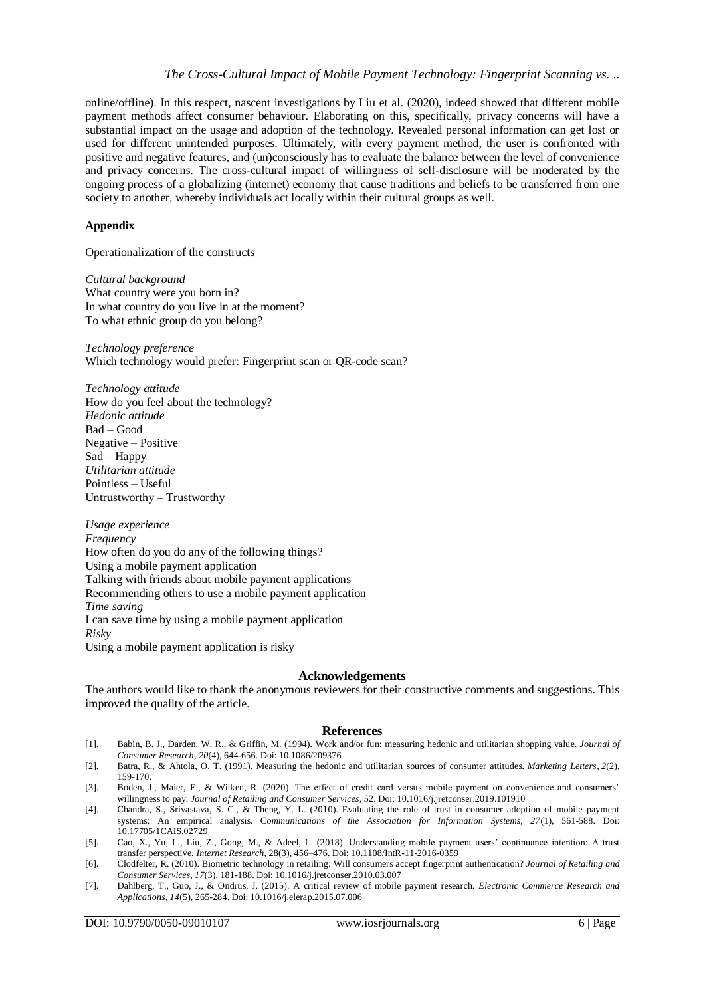online/offline). In this respect, nascent investigations by Liu et al. (2020), indeed showed that different mobile payment methods affect consumer behaviour. Elaborating on this, specifically, privacy concerns will have a substantial impact on the usage and adoption of the technology. Revealed personal information can get lost or used for different unintended purposes. Ultimately, with every payment method, the user is confronted with positive and negative features, and (un)consciously has to evaluate the balance between the level of convenience and privacy concerns. The cross-cultural impact of willingness of self-disclosure will be moderated by the ongoing process of a globalizing (internet) economy that cause traditions and beliefs to be transferred from one society to another, whereby individuals act locally within their cultural groups as well.

## **Appendix**

Operationalization of the constructs

*Cultural background*  What country were you born in? In what country do you live in at the moment? To what ethnic group do you belong?

*Technology preference* Which technology would prefer: Fingerprint scan or QR-code scan?

*Technology attitude*  How do you feel about the technology? *Hedonic attitude* Bad – Good Negative – Positive Sad – Happy *Utilitarian attitude* Pointless – Useful Untrustworthy – Trustworthy

*Usage experience Frequency* How often do you do any of the following things? Using a mobile payment application Talking with friends about mobile payment applications Recommending others to use a mobile payment application *Time saving* I can save time by using a mobile payment application *Risky* Using a mobile payment application is risky

#### **Acknowledgements**

The authors would like to thank the anonymous reviewers for their constructive comments and suggestions. This improved the quality of the article.

#### **References**

- [1]. Babin, B. J., Darden, W. R., & Griffin, M. (1994). Work and/or fun: measuring hedonic and utilitarian shopping value. *Journal of Consumer Research*, *20*(4), 644-656. Doi: 10.1086/209376
- [2]. Batra, R., & Ahtola, O. T. (1991). Measuring the hedonic and utilitarian sources of consumer attitudes. *Marketing Letters*, *2*(2), 159-170.
- [3]. Boden, J., Maier, E., & Wilken, R. (2020). The effect of credit card versus mobile payment on convenience and consumers' willingness to pay*. Journal of Retailing and Consumer Services*, 52. Doi: 10.1016/j.jretconser.2019.101910
- [4]. Chandra, S., Srivastava, S. C., & Theng, Y. L. (2010). Evaluating the role of trust in consumer adoption of mobile payment systems: An empirical analysis. C*ommunications of the Association for Information Systems, 27*(1), 561-588. Doi: 10.17705/1CAIS.02729
- [5]. Cao, X., Yu, L., Liu, Z., Gong, M., & Adeel, L. (2018). Understanding mobile payment users' continuance intention: A trust transfer perspective. *Internet Research,* 28(3), 456–476. Doi: 10.1108/IntR-11-2016-0359
- [6]. Clodfelter, R. (2010). Biometric technology in retailing: Will consumers accept fingerprint authentication? *Journal of Retailing and Consumer Services, 17*(3), 181-188. Doi: 10.1016/j.jretconser.2010.03.007
- [7]. Dahlberg, T., Guo, J., & Ondrus, J. (2015). A critical review of mobile payment research. *Electronic Commerce Research and Applications, 14*(5), 265-284. Doi: 10.1016/j.elerap.2015.07.006